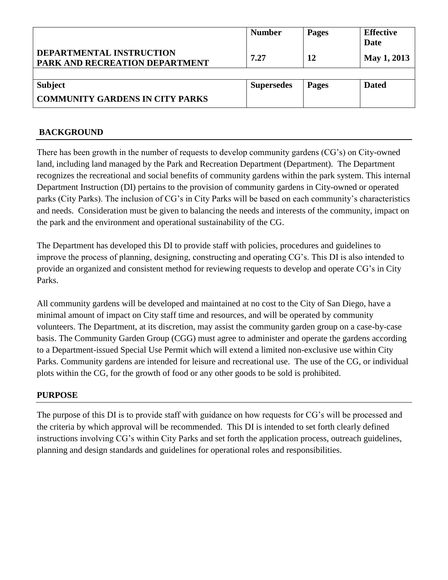|                                                            | <b>Number</b>     | <b>Pages</b> | <b>Effective</b><br>Date |
|------------------------------------------------------------|-------------------|--------------|--------------------------|
| DEPARTMENTAL INSTRUCTION<br>PARK AND RECREATION DEPARTMENT | 7.27              | 12           | May 1, 2013              |
|                                                            |                   |              |                          |
| <b>Subject</b>                                             | <b>Supersedes</b> | <b>Pages</b> | <b>Dated</b>             |
| <b>COMMUNITY GARDENS IN CITY PARKS</b>                     |                   |              |                          |

## **BACKGROUND**

There has been growth in the number of requests to develop community gardens (CG's) on City-owned land, including land managed by the Park and Recreation Department (Department). The Department recognizes the recreational and social benefits of community gardens within the park system. This internal Department Instruction (DI) pertains to the provision of community gardens in City-owned or operated parks (City Parks). The inclusion of CG's in City Parks will be based on each community's characteristics and needs. Consideration must be given to balancing the needs and interests of the community, impact on the park and the environment and operational sustainability of the CG.

The Department has developed this DI to provide staff with policies, procedures and guidelines to improve the process of planning, designing, constructing and operating CG's. This DI is also intended to provide an organized and consistent method for reviewing requests to develop and operate CG's in City Parks.

All community gardens will be developed and maintained at no cost to the City of San Diego, have a minimal amount of impact on City staff time and resources, and will be operated by community volunteers. The Department, at its discretion, may assist the community garden group on a case-by-case basis. The Community Garden Group (CGG) must agree to administer and operate the gardens according to a Department-issued Special Use Permit which will extend a limited non-exclusive use within City Parks. Community gardens are intended for leisure and recreational use. The use of the CG, or individual plots within the CG, for the growth of food or any other goods to be sold is prohibited.

#### **PURPOSE**

The purpose of this DI is to provide staff with guidance on how requests for CG's will be processed and the criteria by which approval will be recommended. This DI is intended to set forth clearly defined instructions involving CG's within City Parks and set forth the application process, outreach guidelines, planning and design standards and guidelines for operational roles and responsibilities.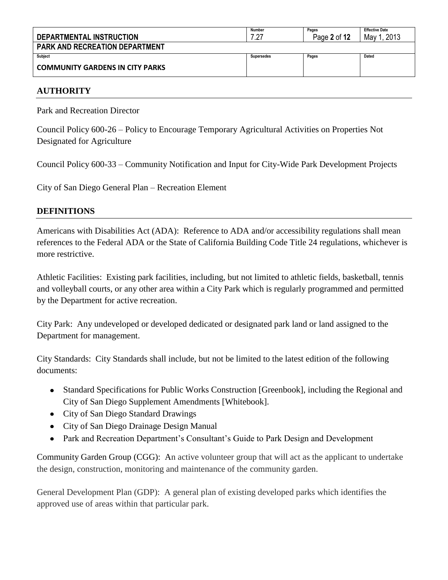|                                        | Number            | Pages        | <b>Effective Date</b> |
|----------------------------------------|-------------------|--------------|-----------------------|
| DEPARTMENTAL INSTRUCTION               | 7.27              | Page 2 of 12 | 2013<br>May           |
| <b>PARK AND RECREATION DEPARTMENT</b>  |                   |              |                       |
| <b>Subject</b>                         | <b>Supersedes</b> | Pages        | Dated                 |
| <b>COMMUNITY GARDENS IN CITY PARKS</b> |                   |              |                       |

#### **AUTHORITY**

Park and Recreation Director

Council Policy 600-26 – Policy to Encourage Temporary Agricultural Activities on Properties Not Designated for Agriculture

Council Policy 600-33 – Community Notification and Input for City-Wide Park Development Projects

City of San Diego General Plan – Recreation Element

#### **DEFINITIONS**

Americans with Disabilities Act (ADA): Reference to ADA and/or accessibility regulations shall mean references to the Federal ADA or the State of California Building Code Title 24 regulations, whichever is more restrictive.

Athletic Facilities: Existing park facilities, including, but not limited to athletic fields, basketball, tennis and volleyball courts, or any other area within a City Park which is regularly programmed and permitted by the Department for active recreation.

City Park: Any undeveloped or developed dedicated or designated park land or land assigned to the Department for management.

City Standards: City Standards shall include, but not be limited to the latest edition of the following documents:

- Standard Specifications for Public Works Construction [Greenbook], including the Regional and City of San Diego Supplement Amendments [Whitebook].
- City of San Diego Standard Drawings
- City of San Diego Drainage Design Manual
- Park and Recreation Department's Consultant's Guide to Park Design and Development

Community Garden Group (CGG): An active volunteer group that will act as the applicant to undertake the design, construction, monitoring and maintenance of the community garden.

General Development Plan (GDP): A general plan of existing developed parks which identifies the approved use of areas within that particular park.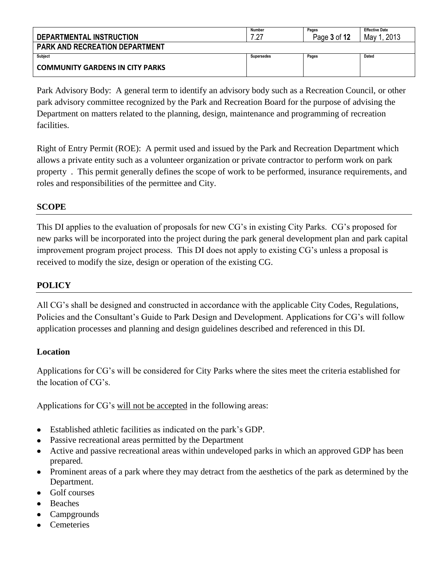| DEPARTMENTAL INSTRUCTION               | Number<br>ר י     | Pages<br>Page 3 of 12 | <b>Effective Date</b><br>2013<br>May 1 |
|----------------------------------------|-------------------|-----------------------|----------------------------------------|
| <b>PARK AND RECREATION DEPARTMENT</b>  |                   |                       |                                        |
| Subject                                | <b>Supersedes</b> | Pages                 | Dated                                  |
| <b>COMMUNITY GARDENS IN CITY PARKS</b> |                   |                       |                                        |

Park Advisory Body: A general term to identify an advisory body such as a Recreation Council, or other park advisory committee recognized by the Park and Recreation Board for the purpose of advising the Department on matters related to the planning, design, maintenance and programming of recreation facilities.

Right of Entry Permit (ROE): A permit used and issued by the Park and Recreation Department which allows a private entity such as a volunteer organization or private contractor to perform work on park property . This permit generally defines the scope of work to be performed, insurance requirements, and roles and responsibilities of the permittee and City.

## **SCOPE**

This DI applies to the evaluation of proposals for new CG's in existing City Parks. CG's proposed for new parks will be incorporated into the project during the park general development plan and park capital improvement program project process. This DI does not apply to existing CG's unless a proposal is received to modify the size, design or operation of the existing CG.

### **POLICY**

All CG's shall be designed and constructed in accordance with the applicable City Codes, Regulations, Policies and the Consultant's Guide to Park Design and Development. Applications for CG's will follow application processes and planning and design guidelines described and referenced in this DI.

#### **Location**

Applications for CG's will be considered for City Parks where the sites meet the criteria established for the location of CG's.

Applications for CG's will not be accepted in the following areas:

- Established athletic facilities as indicated on the park's GDP.
- Passive recreational areas permitted by the Department
- Active and passive recreational areas within undeveloped parks in which an approved GDP has been prepared.
- Prominent areas of a park where they may detract from the aesthetics of the park as determined by the Department.
- Golf courses
- Beaches
- Campgrounds
- Cemeteries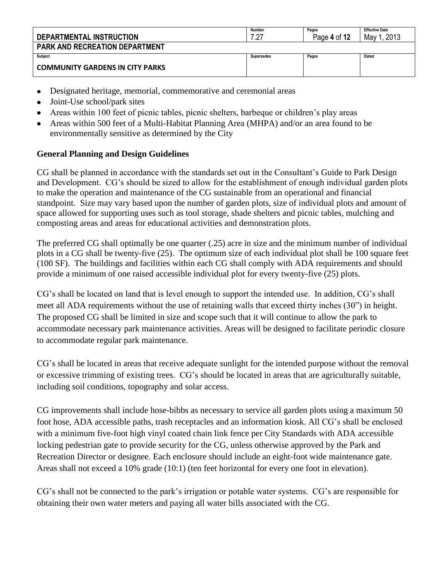| DEPARTMENTAL INSTRUCTION               | Number<br>ר י     | Pages<br>Page 4 of 12 | <b>Effective Date</b><br>2013<br>May 1 |
|----------------------------------------|-------------------|-----------------------|----------------------------------------|
| <b>PARK AND RECREATION DEPARTMENT</b>  |                   |                       |                                        |
| Subject                                | <b>Supersedes</b> | Pages                 | Dated                                  |
| <b>COMMUNITY GARDENS IN CITY PARKS</b> |                   |                       |                                        |

- Designated heritage, memorial, commemorative and ceremonial areas
- Joint-Use school/park sites
- Areas within 100 feet of picnic tables, picnic shelters, barbeque or children's play areas
- Areas within 500 feet of a Multi-Habitat Planning Area (MHPA) and/or an area found to be environmentally sensitive as determined by the City

# **General Planning and Design Guidelines**

CG shall be planned in accordance with the standards set out in the Consultant's Guide to Park Design and Development. CG's should be sized to allow for the establishment of enough individual garden plots to make the operation and maintenance of the CG sustainable from an operational and financial standpoint. Size may vary based upon the number of garden plots, size of individual plots and amount of space allowed for supporting uses such as tool storage, shade shelters and picnic tables, mulching and composting areas and areas for educational activities and demonstration plots.

The preferred CG shall optimally be one quarter (.25) acre in size and the minimum number of individual plots in a CG shall be twenty-five (25). The optimum size of each individual plot shall be 100 square feet (100 SF). The buildings and facilities within each CG shall comply with ADA requirements and should provide a minimum of one raised accessible individual plot for every twenty-five (25) plots.

CG's shall be located on land that is level enough to support the intended use. In addition, CG's shall meet all ADA requirements without the use of retaining walls that exceed thirty inches (30") in height. The proposed CG shall be limited in size and scope such that it will continue to allow the park to accommodate necessary park maintenance activities. Areas will be designed to facilitate periodic closure to accommodate regular park maintenance.

CG's shall be located in areas that receive adequate sunlight for the intended purpose without the removal or excessive trimming of existing trees. CG's should be located in areas that are agriculturally suitable, including soil conditions, topography and solar access.

CG improvements shall include hose-bibbs as necessary to service all garden plots using a maximum 50 foot hose, ADA accessible paths, trash receptacles and an information kiosk. All CG's shall be enclosed with a minimum five-foot high vinyl coated chain link fence per City Standards with ADA accessible locking pedestrian gate to provide security for the CG, unless otherwise approved by the Park and Recreation Director or designee. Each enclosure should include an eight-foot wide maintenance gate. Areas shall not exceed a 10% grade (10:1) (ten feet horizontal for every one foot in elevation).

CG's shall not be connected to the park's irrigation or potable water systems. CG's are responsible for obtaining their own water meters and paying all water bills associated with the CG.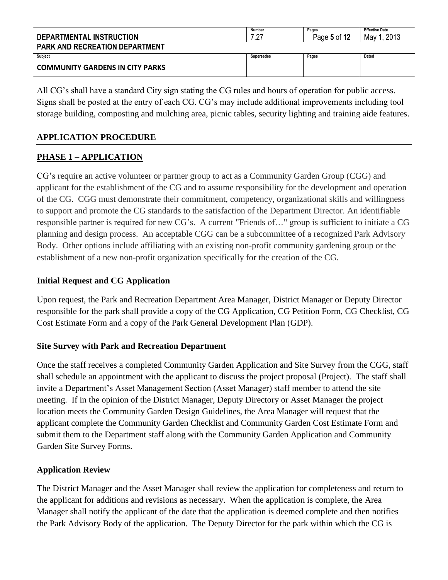| DEPARTMENTAL INSTRUCTION               | Number<br>27:     | Pages<br>Page 5 of 12 | <b>Effective Date</b><br>2013<br>May |
|----------------------------------------|-------------------|-----------------------|--------------------------------------|
| <b>PARK AND RECREATION DEPARTMENT</b>  |                   |                       |                                      |
| Subject                                | <b>Supersedes</b> | Pages                 | Dated                                |
| <b>COMMUNITY GARDENS IN CITY PARKS</b> |                   |                       |                                      |

All CG's shall have a standard City sign stating the CG rules and hours of operation for public access. Signs shall be posted at the entry of each CG. CG's may include additional improvements including tool storage building, composting and mulching area, picnic tables, security lighting and training aide features.

### **APPLICATION PROCEDURE**

## **PHASE 1 – APPLICATION**

CG's require an active volunteer or partner group to act as a Community Garden Group (CGG) and applicant for the establishment of the CG and to assume responsibility for the development and operation of the CG. CGG must demonstrate their commitment, competency, organizational skills and willingness to support and promote the CG standards to the satisfaction of the Department Director. An identifiable responsible partner is required for new CG's. A current "Friends of…" group is sufficient to initiate a CG planning and design process. An acceptable CGG can be a subcommittee of a recognized Park Advisory Body. Other options include affiliating with an existing non-profit community gardening group or the establishment of a new non-profit organization specifically for the creation of the CG.

### **Initial Request and CG Application**

Upon request, the Park and Recreation Department Area Manager, District Manager or Deputy Director responsible for the park shall provide a copy of the CG Application, CG Petition Form, CG Checklist, CG Cost Estimate Form and a copy of the Park General Development Plan (GDP).

#### **Site Survey with Park and Recreation Department**

Once the staff receives a completed Community Garden Application and Site Survey from the CGG, staff shall schedule an appointment with the applicant to discuss the project proposal (Project). The staff shall invite a Department's Asset Management Section (Asset Manager) staff member to attend the site meeting. If in the opinion of the District Manager, Deputy Directory or Asset Manager the project location meets the Community Garden Design Guidelines, the Area Manager will request that the applicant complete the Community Garden Checklist and Community Garden Cost Estimate Form and submit them to the Department staff along with the Community Garden Application and Community Garden Site Survey Forms.

#### **Application Review**

The District Manager and the Asset Manager shall review the application for completeness and return to the applicant for additions and revisions as necessary. When the application is complete, the Area Manager shall notify the applicant of the date that the application is deemed complete and then notifies the Park Advisory Body of the application. The Deputy Director for the park within which the CG is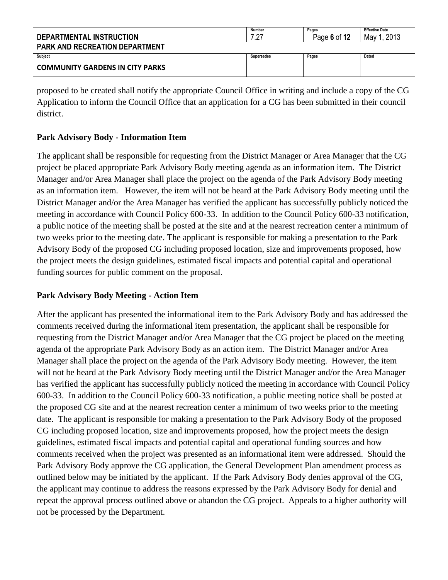| DEPARTMENTAL INSTRUCTION               | <b>Number</b><br>7.27 | Pages<br>Page 6 of 12 | <b>Effective Date</b><br>2013<br>May 1 |
|----------------------------------------|-----------------------|-----------------------|----------------------------------------|
| <b>PARK AND RECREATION DEPARTMENT</b>  |                       |                       |                                        |
| Subject                                | Supersedes            | Pages                 | Dated                                  |
| <b>COMMUNITY GARDENS IN CITY PARKS</b> |                       |                       |                                        |

proposed to be created shall notify the appropriate Council Office in writing and include a copy of the CG Application to inform the Council Office that an application for a CG has been submitted in their council district.

### **Park Advisory Body - Information Item**

The applicant shall be responsible for requesting from the District Manager or Area Manager that the CG project be placed appropriate Park Advisory Body meeting agenda as an information item. The District Manager and/or Area Manager shall place the project on the agenda of the Park Advisory Body meeting as an information item. However, the item will not be heard at the Park Advisory Body meeting until the District Manager and/or the Area Manager has verified the applicant has successfully publicly noticed the meeting in accordance with Council Policy 600-33. In addition to the Council Policy 600-33 notification, a public notice of the meeting shall be posted at the site and at the nearest recreation center a minimum of two weeks prior to the meeting date. The applicant is responsible for making a presentation to the Park Advisory Body of the proposed CG including proposed location, size and improvements proposed, how the project meets the design guidelines, estimated fiscal impacts and potential capital and operational funding sources for public comment on the proposal.

#### **Park Advisory Body Meeting - Action Item**

After the applicant has presented the informational item to the Park Advisory Body and has addressed the comments received during the informational item presentation, the applicant shall be responsible for requesting from the District Manager and/or Area Manager that the CG project be placed on the meeting agenda of the appropriate Park Advisory Body as an action item. The District Manager and/or Area Manager shall place the project on the agenda of the Park Advisory Body meeting. However, the item will not be heard at the Park Advisory Body meeting until the District Manager and/or the Area Manager has verified the applicant has successfully publicly noticed the meeting in accordance with Council Policy 600-33. In addition to the Council Policy 600-33 notification, a public meeting notice shall be posted at the proposed CG site and at the nearest recreation center a minimum of two weeks prior to the meeting date. The applicant is responsible for making a presentation to the Park Advisory Body of the proposed CG including proposed location, size and improvements proposed, how the project meets the design guidelines, estimated fiscal impacts and potential capital and operational funding sources and how comments received when the project was presented as an informational item were addressed. Should the Park Advisory Body approve the CG application, the General Development Plan amendment process as outlined below may be initiated by the applicant. If the Park Advisory Body denies approval of the CG, the applicant may continue to address the reasons expressed by the Park Advisory Body for denial and repeat the approval process outlined above or abandon the CG project. Appeals to a higher authority will not be processed by the Department.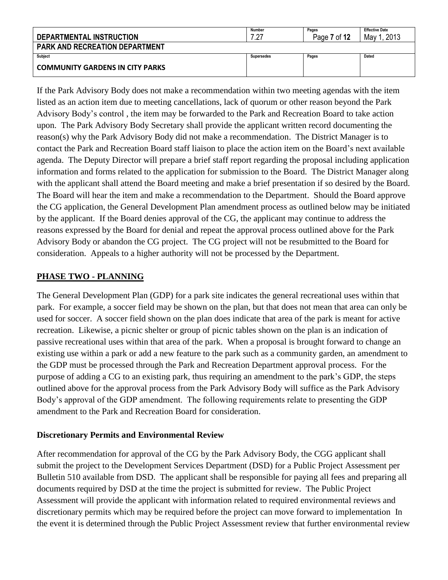| DEPARTMENTAL INSTRUCTION               | Number<br>1 77 | Pages<br>Page 7 of 12 | <b>Effective Date</b><br>2013<br>May |
|----------------------------------------|----------------|-----------------------|--------------------------------------|
| <b>PARK AND RECREATION DEPARTMENT</b>  |                |                       |                                      |
| <b>Subject</b>                         | Supersedes     | Pages                 | Dated                                |
| <b>COMMUNITY GARDENS IN CITY PARKS</b> |                |                       |                                      |

If the Park Advisory Body does not make a recommendation within two meeting agendas with the item listed as an action item due to meeting cancellations, lack of quorum or other reason beyond the Park Advisory Body's control , the item may be forwarded to the Park and Recreation Board to take action upon. The Park Advisory Body Secretary shall provide the applicant written record documenting the reason(s) why the Park Advisory Body did not make a recommendation. The District Manager is to contact the Park and Recreation Board staff liaison to place the action item on the Board's next available agenda. The Deputy Director will prepare a brief staff report regarding the proposal including application information and forms related to the application for submission to the Board. The District Manager along with the applicant shall attend the Board meeting and make a brief presentation if so desired by the Board. The Board will hear the item and make a recommendation to the Department. Should the Board approve the CG application, the General Development Plan amendment process as outlined below may be initiated by the applicant. If the Board denies approval of the CG, the applicant may continue to address the reasons expressed by the Board for denial and repeat the approval process outlined above for the Park Advisory Body or abandon the CG project. The CG project will not be resubmitted to the Board for consideration. Appeals to a higher authority will not be processed by the Department.

#### **PHASE TWO - PLANNING**

The General Development Plan (GDP) for a park site indicates the general recreational uses within that park. For example, a soccer field may be shown on the plan, but that does not mean that area can only be used for soccer. A soccer field shown on the plan does indicate that area of the park is meant for active recreation. Likewise, a picnic shelter or group of picnic tables shown on the plan is an indication of passive recreational uses within that area of the park. When a proposal is brought forward to change an existing use within a park or add a new feature to the park such as a community garden, an amendment to the GDP must be processed through the Park and Recreation Department approval process. For the purpose of adding a CG to an existing park, thus requiring an amendment to the park's GDP, the steps outlined above for the approval process from the Park Advisory Body will suffice as the Park Advisory Body's approval of the GDP amendment. The following requirements relate to presenting the GDP amendment to the Park and Recreation Board for consideration.

## **Discretionary Permits and Environmental Review**

After recommendation for approval of the CG by the Park Advisory Body, the CGG applicant shall submit the project to the Development Services Department (DSD) for a Public Project Assessment per Bulletin 510 available from DSD. The applicant shall be responsible for paying all fees and preparing all documents required by DSD at the time the project is submitted for review. The Public Project Assessment will provide the applicant with information related to required environmental reviews and discretionary permits which may be required before the project can move forward to implementation In the event it is determined through the Public Project Assessment review that further environmental review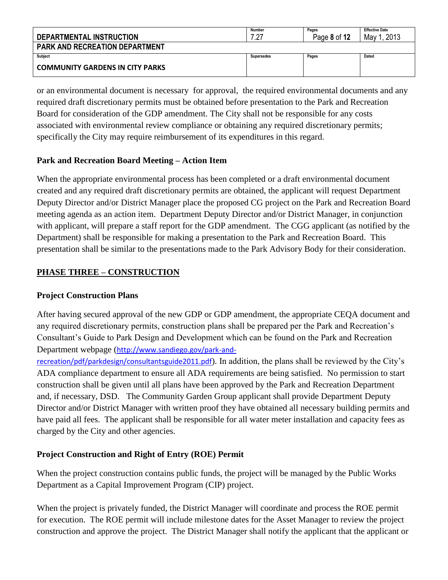| DEPARTMENTAL INSTRUCTION               | Number<br>7.27    | Pages<br>Page 8 of 12 | <b>Effective Date</b><br>. 2013<br>May 1 |
|----------------------------------------|-------------------|-----------------------|------------------------------------------|
| <b>PARK AND RECREATION DEPARTMENT</b>  |                   |                       |                                          |
| Subject                                | <b>Supersedes</b> | Pages                 | Dated                                    |
| <b>COMMUNITY GARDENS IN CITY PARKS</b> |                   |                       |                                          |

or an environmental document is necessary for approval, the required environmental documents and any required draft discretionary permits must be obtained before presentation to the Park and Recreation Board for consideration of the GDP amendment. The City shall not be responsible for any costs associated with environmental review compliance or obtaining any required discretionary permits; specifically the City may require reimbursement of its expenditures in this regard.

### **Park and Recreation Board Meeting – Action Item**

When the appropriate environmental process has been completed or a draft environmental document created and any required draft discretionary permits are obtained, the applicant will request Department Deputy Director and/or District Manager place the proposed CG project on the Park and Recreation Board meeting agenda as an action item. Department Deputy Director and/or District Manager, in conjunction with applicant, will prepare a staff report for the GDP amendment. The CGG applicant (as notified by the Department) shall be responsible for making a presentation to the Park and Recreation Board. This presentation shall be similar to the presentations made to the Park Advisory Body for their consideration.

# **PHASE THREE – CONSTRUCTION**

### **Project Construction Plans**

After having secured approval of the new GDP or GDP amendment, the appropriate CEQA document and any required discretionary permits, construction plans shall be prepared per the Park and Recreation's Consultant's Guide to Park Design and Development which can be found on the Park and Recreation Department webpage ([http://www.sandiego.gov/park-and-](http://www.sandiego.gov/park-and-recreation/pdf/parkdesign/consultantsguide2011.pdf)

[recreation/pdf/parkdesign/consultantsguide2011.pdf](http://www.sandiego.gov/park-and-recreation/pdf/parkdesign/consultantsguide2011.pdf)). In addition, the plans shall be reviewed by the City's ADA compliance department to ensure all ADA requirements are being satisfied. No permission to start construction shall be given until all plans have been approved by the Park and Recreation Department and, if necessary, DSD. The Community Garden Group applicant shall provide Department Deputy Director and/or District Manager with written proof they have obtained all necessary building permits and have paid all fees. The applicant shall be responsible for all water meter installation and capacity fees as charged by the City and other agencies.

## **Project Construction and Right of Entry (ROE) Permit**

When the project construction contains public funds, the project will be managed by the Public Works Department as a Capital Improvement Program (CIP) project.

When the project is privately funded, the District Manager will coordinate and process the ROE permit for execution. The ROE permit will include milestone dates for the Asset Manager to review the project construction and approve the project. The District Manager shall notify the applicant that the applicant or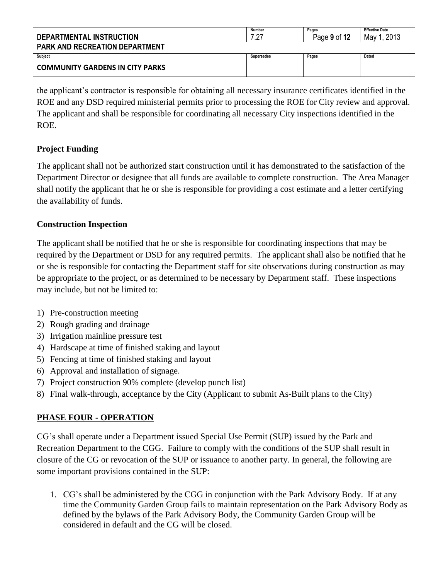| DEPARTMENTAL INSTRUCTION               | <b>Number</b><br>7 27 | Pages<br>Page 9 of 12 | <b>Effective Date</b><br>2013<br>May |  |
|----------------------------------------|-----------------------|-----------------------|--------------------------------------|--|
| <b>PARK AND RECREATION DEPARTMENT</b>  |                       |                       |                                      |  |
| Subject                                | Supersedes            | Pages                 | Dated                                |  |
| <b>COMMUNITY GARDENS IN CITY PARKS</b> |                       |                       |                                      |  |

the applicant's contractor is responsible for obtaining all necessary insurance certificates identified in the ROE and any DSD required ministerial permits prior to processing the ROE for City review and approval. The applicant and shall be responsible for coordinating all necessary City inspections identified in the ROE.

## **Project Funding**

The applicant shall not be authorized start construction until it has demonstrated to the satisfaction of the Department Director or designee that all funds are available to complete construction. The Area Manager shall notify the applicant that he or she is responsible for providing a cost estimate and a letter certifying the availability of funds.

## **Construction Inspection**

The applicant shall be notified that he or she is responsible for coordinating inspections that may be required by the Department or DSD for any required permits. The applicant shall also be notified that he or she is responsible for contacting the Department staff for site observations during construction as may be appropriate to the project, or as determined to be necessary by Department staff. These inspections may include, but not be limited to:

- 1) Pre-construction meeting
- 2) Rough grading and drainage
- 3) Irrigation mainline pressure test
- 4) Hardscape at time of finished staking and layout
- 5) Fencing at time of finished staking and layout
- 6) Approval and installation of signage.
- 7) Project construction 90% complete (develop punch list)
- 8) Final walk-through, acceptance by the City (Applicant to submit As-Built plans to the City)

## **PHASE FOUR - OPERATION**

CG's shall operate under a Department issued Special Use Permit (SUP) issued by the Park and Recreation Department to the CGG. Failure to comply with the conditions of the SUP shall result in closure of the CG or revocation of the SUP or issuance to another party. In general, the following are some important provisions contained in the SUP:

1. CG's shall be administered by the CGG in conjunction with the Park Advisory Body. If at any time the Community Garden Group fails to maintain representation on the Park Advisory Body as defined by the bylaws of the Park Advisory Body, the Community Garden Group will be considered in default and the CG will be closed.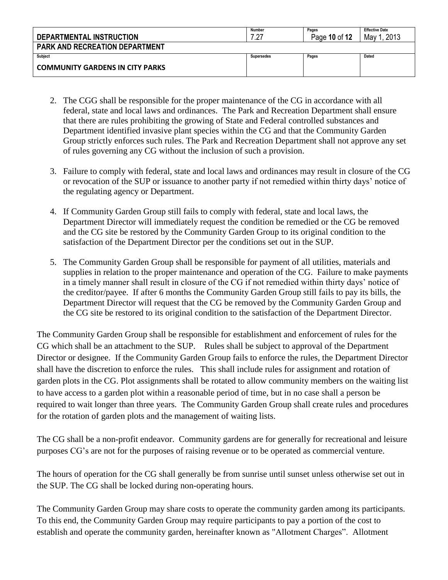| DEPARTMENTAL INSTRUCTION               | Number<br>່າາ | Pages<br>Page 10 of 12 | <b>Effective Date</b><br>2013<br>May 1 |
|----------------------------------------|---------------|------------------------|----------------------------------------|
| <b>PARK AND RECREATION DEPARTMENT</b>  |               |                        |                                        |
| Subject                                | Supersedes    | Pages                  | Dated                                  |
| <b>COMMUNITY GARDENS IN CITY PARKS</b> |               |                        |                                        |

- 2. The CGG shall be responsible for the proper maintenance of the CG in accordance with all federal, state and local laws and ordinances. The Park and Recreation Department shall ensure that there are rules prohibiting the growing of State and Federal controlled substances and Department identified invasive plant species within the CG and that the Community Garden Group strictly enforces such rules. The Park and Recreation Department shall not approve any set of rules governing any CG without the inclusion of such a provision.
- 3. Failure to comply with federal, state and local laws and ordinances may result in closure of the CG or revocation of the SUP or issuance to another party if not remedied within thirty days' notice of the regulating agency or Department.
- 4. If Community Garden Group still fails to comply with federal, state and local laws, the Department Director will immediately request the condition be remedied or the CG be removed and the CG site be restored by the Community Garden Group to its original condition to the satisfaction of the Department Director per the conditions set out in the SUP.
- 5. The Community Garden Group shall be responsible for payment of all utilities, materials and supplies in relation to the proper maintenance and operation of the CG. Failure to make payments in a timely manner shall result in closure of the CG if not remedied within thirty days' notice of the creditor/payee. If after 6 months the Community Garden Group still fails to pay its bills, the Department Director will request that the CG be removed by the Community Garden Group and the CG site be restored to its original condition to the satisfaction of the Department Director.

The Community Garden Group shall be responsible for establishment and enforcement of rules for the CG which shall be an attachment to the SUP. Rules shall be subject to approval of the Department Director or designee. If the Community Garden Group fails to enforce the rules, the Department Director shall have the discretion to enforce the rules. This shall include rules for assignment and rotation of garden plots in the CG. Plot assignments shall be rotated to allow community members on the waiting list to have access to a garden plot within a reasonable period of time, but in no case shall a person be required to wait longer than three years. The Community Garden Group shall create rules and procedures for the rotation of garden plots and the management of waiting lists.

The CG shall be a non-profit endeavor. Community gardens are for generally for recreational and leisure purposes CG's are not for the purposes of raising revenue or to be operated as commercial venture.

The hours of operation for the CG shall generally be from sunrise until sunset unless otherwise set out in the SUP. The CG shall be locked during non-operating hours.

The Community Garden Group may share costs to operate the community garden among its participants. To this end, the Community Garden Group may require participants to pay a portion of the cost to establish and operate the community garden, hereinafter known as "Allotment Charges". Allotment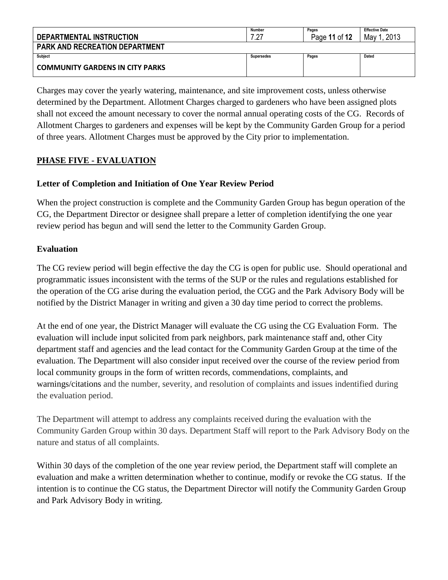| DEPARTMENTAL INSTRUCTION               | Number<br>ר ? | Pages<br>Page 11 of 12 | <b>Effective Date</b><br>2013<br>May 1 |
|----------------------------------------|---------------|------------------------|----------------------------------------|
| <b>PARK AND RECREATION DEPARTMENT</b>  |               |                        |                                        |
| <b>Subject</b>                         | Supersedes    | Pages                  | Dated                                  |
| <b>COMMUNITY GARDENS IN CITY PARKS</b> |               |                        |                                        |

Charges may cover the yearly watering, maintenance, and site improvement costs, unless otherwise determined by the Department. Allotment Charges charged to gardeners who have been assigned plots shall not exceed the amount necessary to cover the normal annual operating costs of the CG. Records of Allotment Charges to gardeners and expenses will be kept by the Community Garden Group for a period of three years. Allotment Charges must be approved by the City prior to implementation.

## **PHASE FIVE - EVALUATION**

### **Letter of Completion and Initiation of One Year Review Period**

When the project construction is complete and the Community Garden Group has begun operation of the CG, the Department Director or designee shall prepare a letter of completion identifying the one year review period has begun and will send the letter to the Community Garden Group.

#### **Evaluation**

The CG review period will begin effective the day the CG is open for public use. Should operational and programmatic issues inconsistent with the terms of the SUP or the rules and regulations established for the operation of the CG arise during the evaluation period, the CGG and the Park Advisory Body will be notified by the District Manager in writing and given a 30 day time period to correct the problems.

At the end of one year, the District Manager will evaluate the CG using the CG Evaluation Form. The evaluation will include input solicited from park neighbors, park maintenance staff and, other City department staff and agencies and the lead contact for the Community Garden Group at the time of the evaluation. The Department will also consider input received over the course of the review period from local community groups in the form of written records, commendations, complaints, and warnings/citations and the number, severity, and resolution of complaints and issues indentified during the evaluation period.

The Department will attempt to address any complaints received during the evaluation with the Community Garden Group within 30 days. Department Staff will report to the Park Advisory Body on the nature and status of all complaints.

Within 30 days of the completion of the one year review period, the Department staff will complete an evaluation and make a written determination whether to continue, modify or revoke the CG status. If the intention is to continue the CG status, the Department Director will notify the Community Garden Group and Park Advisory Body in writing.